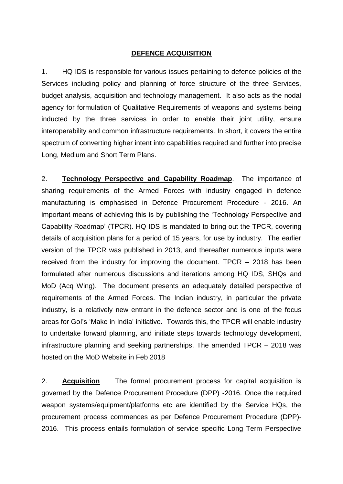## **DEFENCE ACQUISITION**

1. HQ IDS is responsible for various issues pertaining to defence policies of the Services including policy and planning of force structure of the three Services, budget analysis, acquisition and technology management. It also acts as the nodal agency for formulation of Qualitative Requirements of weapons and systems being inducted by the three services in order to enable their joint utility, ensure interoperability and common infrastructure requirements. In short, it covers the entire spectrum of converting higher intent into capabilities required and further into precise Long, Medium and Short Term Plans.

2. **Technology Perspective and Capability Roadmap**. The importance of sharing requirements of the Armed Forces with industry engaged in defence manufacturing is emphasised in Defence Procurement Procedure - 2016. An important means of achieving this is by publishing the 'Technology Perspective and Capability Roadmap' (TPCR). HQ IDS is mandated to bring out the TPCR, covering details of acquisition plans for a period of 15 years, for use by industry. The earlier version of the TPCR was published in 2013, and thereafter numerous inputs were received from the industry for improving the document. TPCR – 2018 has been formulated after numerous discussions and iterations among HQ IDS, SHQs and MoD (Acq Wing). The document presents an adequately detailed perspective of requirements of the Armed Forces. The Indian industry, in particular the private industry, is a relatively new entrant in the defence sector and is one of the focus areas for GoI's 'Make in India' initiative. Towards this, the TPCR will enable industry to undertake forward planning, and initiate steps towards technology development, infrastructure planning and seeking partnerships. The amended TPCR – 2018 was hosted on the MoD Website in Feb 2018

2. **Acquisition** The formal procurement process for capital acquisition is governed by the Defence Procurement Procedure (DPP) -2016. Once the required weapon systems/equipment/platforms etc are identified by the Service HQs, the procurement process commences as per Defence Procurement Procedure (DPP)- 2016. This process entails formulation of service specific Long Term Perspective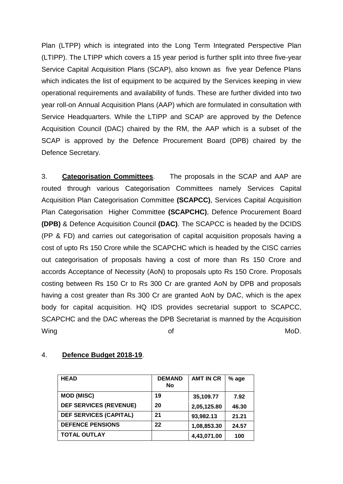Plan (LTPP) which is integrated into the Long Term Integrated Perspective Plan (LTIPP). The LTIPP which covers a 15 year period is further split into three five-year Service Capital Acquisition Plans (SCAP), also known as five year Defence Plans which indicates the list of equipment to be acquired by the Services keeping in view operational requirements and availability of funds. These are further divided into two year roll-on Annual Acquisition Plans (AAP) which are formulated in consultation with Service Headquarters. While the LTIPP and SCAP are approved by the Defence Acquisition Council (DAC) chaired by the RM, the AAP which is a subset of the SCAP is approved by the Defence Procurement Board (DPB) chaired by the Defence Secretary.

3. **Categorisation Committees**. The proposals in the SCAP and AAP are routed through various Categorisation Committees namely Services Capital Acquisition Plan Categorisation Committee **(SCAPCC)**, Services Capital Acquisition Plan Categorisation Higher Committee **(SCAPCHC)**, Defence Procurement Board **(DPB)** & Defence Acquisition Council **(DAC)**. The SCAPCC is headed by the DCIDS (PP & FD) and carries out categorisation of capital acquisition proposals having a cost of upto Rs 150 Crore while the SCAPCHC which is headed by the CISC carries out categorisation of proposals having a cost of more than Rs 150 Crore and accords Acceptance of Necessity (AoN) to proposals upto Rs 150 Crore. Proposals costing between Rs 150 Cr to Rs 300 Cr are granted AoN by DPB and proposals having a cost greater than Rs 300 Cr are granted AoN by DAC, which is the apex body for capital acquisition. HQ IDS provides secretarial support to SCAPCC, SCAPCHC and the DAC whereas the DPB Secretariat is manned by the Acquisition Wing the contract of the contract of the MoD.

| <b>HEAD</b>                   | <b>DEMAND</b><br>No | <b>AMT IN CR</b> | % age |
|-------------------------------|---------------------|------------------|-------|
| <b>MOD (MISC)</b>             | 19                  | 35,109.77        | 7.92  |
| <b>DEF SERVICES (REVENUE)</b> | 20                  | 2,05,125.80      | 46.30 |
| <b>DEF SERVICES (CAPITAL)</b> | 21                  | 93,982.13        | 21.21 |
| <b>DEFENCE PENSIONS</b>       | 22                  | 1,08,853.30      | 24.57 |
| <b>TOTAL OUTLAY</b>           |                     | 4,43,071.00      | 100   |

## 4. **Defence Budget 2018-19**.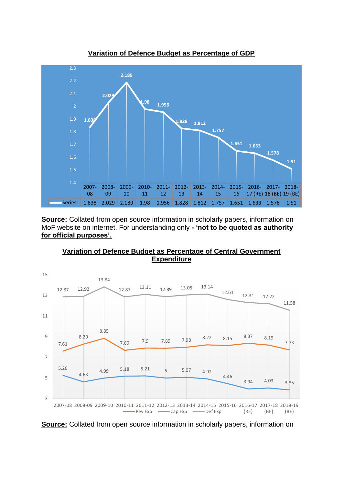

**Variation of Defence Budget as Percentage of GDP**

**Source:** Collated from open source information in scholarly papers, information on MoF website on internet. For understanding only **- 'not to be quoted as authority for official purposes'.** 



**Variation of Defence Budget as Percentage of Central Government Expenditure**

**Source:** Collated from open source information in scholarly papers, information on